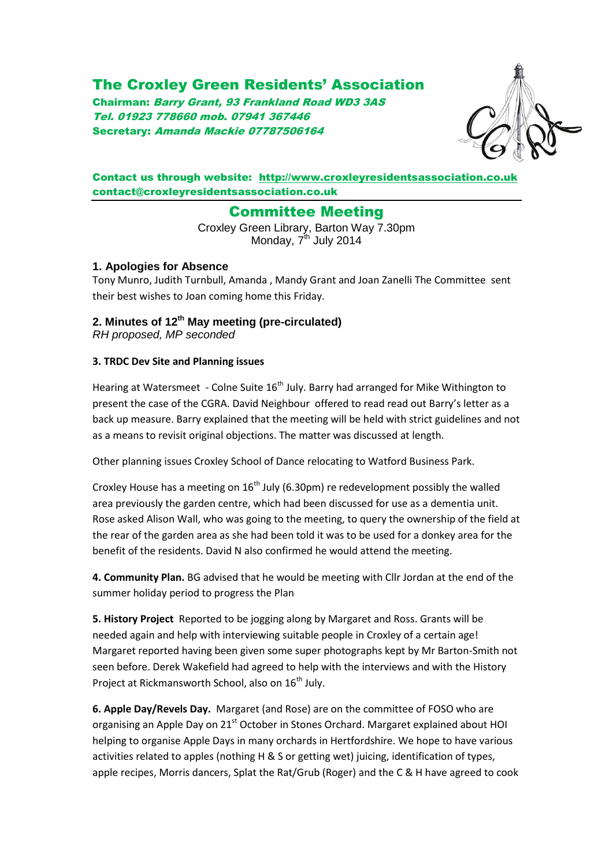# The Croxley Green Residents' Association

Chairman: Barry Grant, 93 Frankland Road WD3 3AS Tel. 01923 778660 mob. 07941 367446 Secretary: Amanda Mackie 07787506164



## Contact us through website: [http://www.croxleyresidentsassociation.co.uk](http://www.croxleyresidentsassociation.co.uk/) contact@croxleyresidentsassociation.co.uk

# Committee Meeting

Croxley Green Library, Barton Way 7.30pm Monday, 7<sup>th</sup> July 2014

## **1. Apologies for Absence**

Tony Munro, Judith Turnbull, Amanda , Mandy Grant and Joan Zanelli The Committee sent their best wishes to Joan coming home this Friday.

# **2. Minutes of 12 th May meeting (pre-circulated)**

*RH proposed, MP seconded*

## **3. TRDC Dev Site and Planning issues**

Hearing at Watersmeet - Colne Suite 16<sup>th</sup> July. Barry had arranged for Mike Withington to present the case of the CGRA. David Neighbour offered to read read out Barry's letter as a back up measure. Barry explained that the meeting will be held with strict guidelines and not as a means to revisit original objections. The matter was discussed at length.

Other planning issues Croxley School of Dance relocating to Watford Business Park.

Croxley House has a meeting on  $16<sup>th</sup>$  July (6.30pm) re redevelopment possibly the walled area previously the garden centre, which had been discussed for use as a dementia unit. Rose asked Alison Wall, who was going to the meeting, to query the ownership of the field at the rear of the garden area as she had been told it was to be used for a donkey area for the benefit of the residents. David N also confirmed he would attend the meeting.

**4. Community Plan.** BG advised that he would be meeting with Cllr Jordan at the end of the summer holiday period to progress the Plan

**5. History Project** Reported to be jogging along by Margaret and Ross. Grants will be needed again and help with interviewing suitable people in Croxley of a certain age! Margaret reported having been given some super photographs kept by Mr Barton-Smith not seen before. Derek Wakefield had agreed to help with the interviews and with the History Project at Rickmansworth School, also on 16<sup>th</sup> July.

**6. Apple Day/Revels Day.** Margaret (and Rose) are on the committee of FOSO who are organising an Apple Day on 21<sup>st</sup> October in Stones Orchard. Margaret explained about HOI helping to organise Apple Days in many orchards in Hertfordshire. We hope to have various activities related to apples (nothing H & S or getting wet) juicing, identification of types, apple recipes, Morris dancers, Splat the Rat/Grub (Roger) and the C & H have agreed to cook